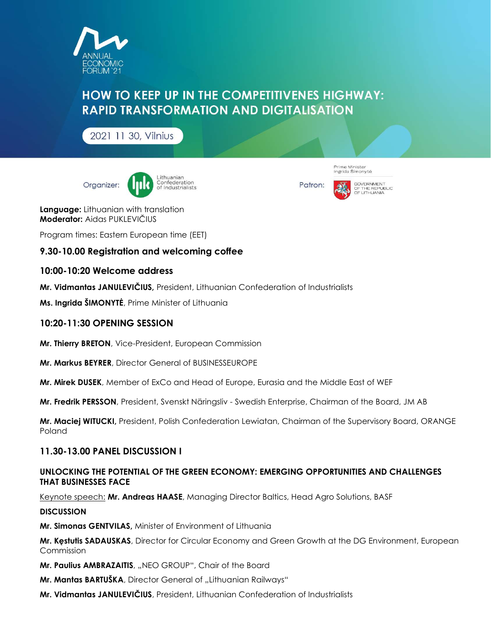

# **HOW TO KEEP UP IN THE COMPETITIVENES HIGHWAY: RAPID TRANSFORMATION AND DIGITALISATION**

2021 11 30, Vilnius



Patron:



Prime Minister<br>Ingrida Šimonytė

Language: Lithuanian with translation Moderator: Aidas PUKLEVIČIUS

Program times: Eastern European time (EET)

## 9.30-10.00 Registration and welcoming coffee

## 10:00-10:20 Welcome address

Mr. Vidmantas JANULEVIČIUS, President, Lithuanian Confederation of Industrialists

Ms. Ingrida ŠIMONYTĖ, Prime Minister of Lithuania

#### 10:20-11:30 OPENING SESSION

Mr. Thierry BRETON, Vice-President, European Commission

Mr. Markus BEYRER, Director General of BUSINESSEUROPE

Mr. Mirek DUSEK, Member of ExCo and Head of Europe, Eurasia and the Middle East of WEF

Mr. Fredrik PERSSON, President, Svenskt Näringsliv - Swedish Enterprise, Chairman of the Board, JM AB

Mr. Maciej WITUCKI, President, Polish Confederation Lewiatan, Chairman of the Supervisory Board, ORANGE Poland

#### 11.30-13.00 PANEL DISCUSSION I

#### UNLOCKING THE POTENTIAL OF THE GREEN ECONOMY: EMERGING OPPORTUNITIES AND CHALLENGES THAT BUSINESSES FACE

Keynote speech: Mr. Andreas HAASE, Managing Director Baltics, Head Agro Solutions, BASF

#### **DISCUSSION**

Mr. Simonas GENTVILAS, Minister of Environment of Lithuania

Mr. Kestutis SADAUSKAS, Director for Circular Economy and Green Growth at the DG Environment, European Commission

Mr. Paulius AMBRAZAITIS, "NEO GROUP", Chair of the Board

Mr. Mantas BARTUŠKA, Director General of "Lithuanian Railways"

Mr. Vidmantas JANULEVIČIUS, President, Lithuanian Confederation of Industrialists